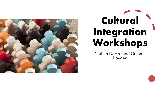

# **Cultural Integration Workshops**

Nathan Dodzo and Gemma Boaden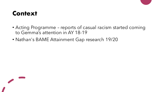#### **Context**

- Acting Programme reports of casual racism started coming to Gemma's attention in AY 18-19
- Nathan's BAME Attainment Gap research 19/20

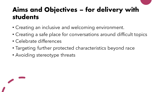#### **Aims and Objectives – for delivery with students**

- Creating an inclusive and welcoming environment.
- Creating a safe place for conversations around difficult topics
- Celebrate differences
- Targeting further protected characteristics beyond race
- Avoiding stereotype threats

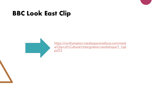#### **BBC Look East Clip**

https://northampton.mediaspace.kaltura.com/medi [a/Clip+of+Cultural+Intergration+workshops/1\\_1q6](https://northampton.mediaspace.kaltura.com/media/Clip+of+Cultural+Intergration+workshops/1_1q6pcf73) pcf73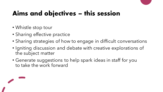# **Aims and objectives – this session**

- Whistle stop tour
- Sharing effective practice
- Sharing strategies of how to engage in difficult conversations
- Igniting discussion and debate with creative explorations of the subject matter
- Generate suggestions to help spark ideas in staff for you to take the work forward

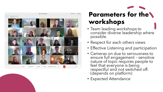

#### **Parameters for the workshops**

- Team leading workshops to consider diverse leadership where possible.
- Respect for each others views
- Effective Listening and participation
- Cameras on due to seriousness to ensure full engagement – sensitive nature of topic requires people to feel that everyone is being respectful and not switched off. (depends on platform)
- Expected Attendance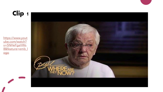

https://www.yout ube.com/watch? v=5NHeFgaVWs [8&feature=emb\\_l](https://www.youtube.com/watch?v=5NHeFgaVWs8&feature=emb_logo) ogo

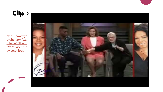

https://www.yo utube.com/wa [tch?v=5NHeFg](https://www.youtube.com/watch?v=5NHeFgaVWs8&feature=emb_logo) aVWs8&featur e=emb\_logo

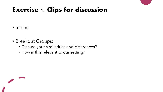#### **Exercise 1: Clips for discussion**

#### • 5mins

- Breakout Groups:
	- Discuss your similarities and differences?
	- How is this relevant to our setting?

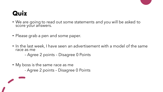- We are going to read out some statements and you will be asked to score your answers.
- Please grab a pen and some paper.
- In the last week, I have seen an advertisement with a model of the same race as me
	- Agree 2 points Disagree 0 Points
- My boss is the same race as me
	- Agree 2 points Disagree 0 Points

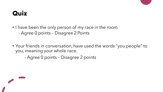- I have been the only person of my race in the room - Agree 0 points – Disagree 2 Points
- Your friends in conversation, have used the words "you people" to you, meaning your whole race.
	- Agree 0 points Disagree 2 points

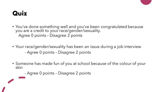- You've done something well and you've been congratulated because you are a credit to your race/gender/sexuality. Agree 0 points – Disagree 2 points
- Your race/gender/sexuality has been an issue during a job interview - Agree 0 points – Disagree 2 points
- Someone has made fun of you at school because of the colour of your skin
	- Agree 0 points Disagree 2 points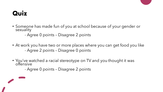- Someone has made fun of you at school because of your gender or sexuality
	- Agree 0 points Disagree 2 points
- At work you have two or more places where you can get food you like - Agree 2 points – Disagree 0 points
- You've watched a racial stereotype on TV and you thought it was offensive
	- Agree 0 points Disagree 2 points

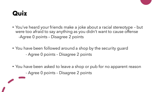- You've heard your friends make a joke about a racial stereotype but were too afraid to say anything as you didn't want to cause offense -Agree 0 points – Disagree 2 points
- You have been followed around a shop by the security guard - Agree 0 points – Disagree 2 points
- You have been asked to leave a shop or pub for no apparent reason - Agree 0 points – Disagree 2 points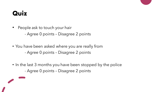- People ask to touch your hair
	- Agree 0 points Disagree 2 points
- You have been asked where you are really from - Agree 0 points – Disagree 2 points
- In the last 3 months you have been stopped by the police
	- Agree 0 points Disagree 2 points

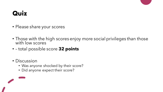- Please share your scores
- Those with the high scores enjoy more social privileges than those with low scores
- – total possible score **32 points**
- Discussion
	- Was anyone shocked by their score?
	- Did anyone expect their score?

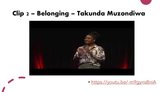#### **Clip 2 – Belonging – Takunda Muzondiwa**



• <https://youtu.be/-m9gyns8niA>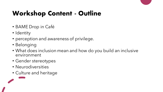## **Workshop Content - Outline**

- BAME Drop in Café
- Identity
- perception and awareness of privilege.
- Belonging
- What does inclusion mean and how do you build an inclusive environment
- Gender stereotypes
- Neurodiversities
- Culture and heritage

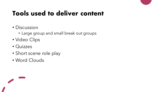### **Tools used to deliver content**

- Discussion
	- Large group and small break out groups
- Video Clips
- Quizzes
- Short scene role play
- Word Clouds

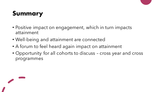#### **Summary**

- Positive impact on engagement, which in turn impacts attainment
- Well-being and attainment are connected
- A forum to feel heard again impact on attainment
- Opportunity for all cohorts to discuss cross year and cross programmes